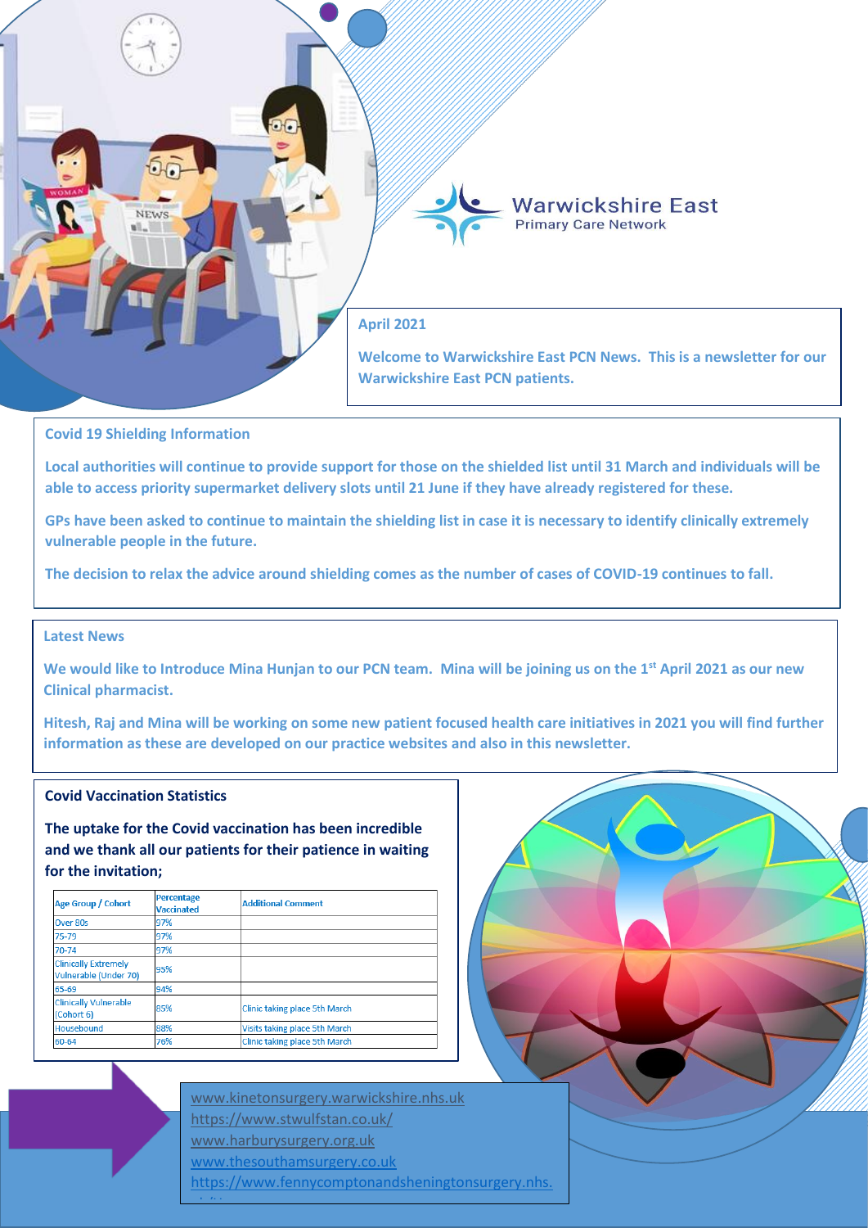

#### **Covid 19 Shielding Information**

**Local authorities will continue to provide support for those on the shielded list until 31 March and individuals will be able to access priority supermarket delivery slots until 21 June if they have already registered for these.**

**GPs have been asked to continue to maintain the shielding list in case it is necessary to identify clinically extremely vulnerable people in the future.**

**The decision to relax the advice around shielding comes as the number of cases of COVID-19 continues to fall.**

#### **Latest News Deputy CMO for England Dr Jenny Harries said: 'Shielding has always been advisory measure to safeguard the safeguard those**  $\mathcal{L}$  **and**  $\mathcal{L}$  **and**  $\mathcal{L}$  **and**  $\mathcal{L}$  **and**  $\mathcal{L}$  **and**  $\mathcal{L}$  **and**  $\mathcal{L}$  **and \mathcal{L}**

We would like to Introduce Mina Hunjan to our PCN team. Mina will be joining us on the 1<sup>st</sup> April 2021 as our new **Clinical pharmacist. many and increase we had on people's well-**

**Hitesh, Raj and Mina will be working on some new patient focused health care initiatives in 2021 you will find further information as these are developed on our practice websites and also in this newsletter.** 

#### **Covid Vaccination Statistics**

**The uptake for the Covid vaccination has been incredible and we thank all our patients for their patience in waiting for the invitation;**

| Age Group / Cohort                                   | <b>Percentage</b><br><b>Vaccinated</b> | <b>Additional Comment</b>     |
|------------------------------------------------------|----------------------------------------|-------------------------------|
| Over 80s                                             | 97%                                    |                               |
| $75 - 79$                                            | 97%                                    |                               |
| 70-74                                                | 97%                                    |                               |
| <b>Clinically Extremely</b><br>Vulnerable (Under 70) | 95%                                    |                               |
| 65-69                                                | 94%                                    |                               |
| <b>Clinically Vulnerable</b><br>(Cohort 6)           | 85%                                    | Clinic taking place 5th March |
| Housebound                                           | 88%                                    | Visits taking place 5th March |
| 60-64                                                | 76%                                    | Clinic taking place 5th March |

[www.kinetonsurgery.warwickshire.nhs.uk](http://www.kinetonsurgery.warwickshire.nhs.uk/) <https://www.stwulfstan.co.uk/> [www.harburysurgery.org.uk](http://www.harburysurgery.org.uk/) [www.thesouthamsurgery.co.uk](http://www.thesouthamsurgery.co.uk/)  https://www.fennycomptonandsheningtonsurgery.nhs. uk/Home<br>Home

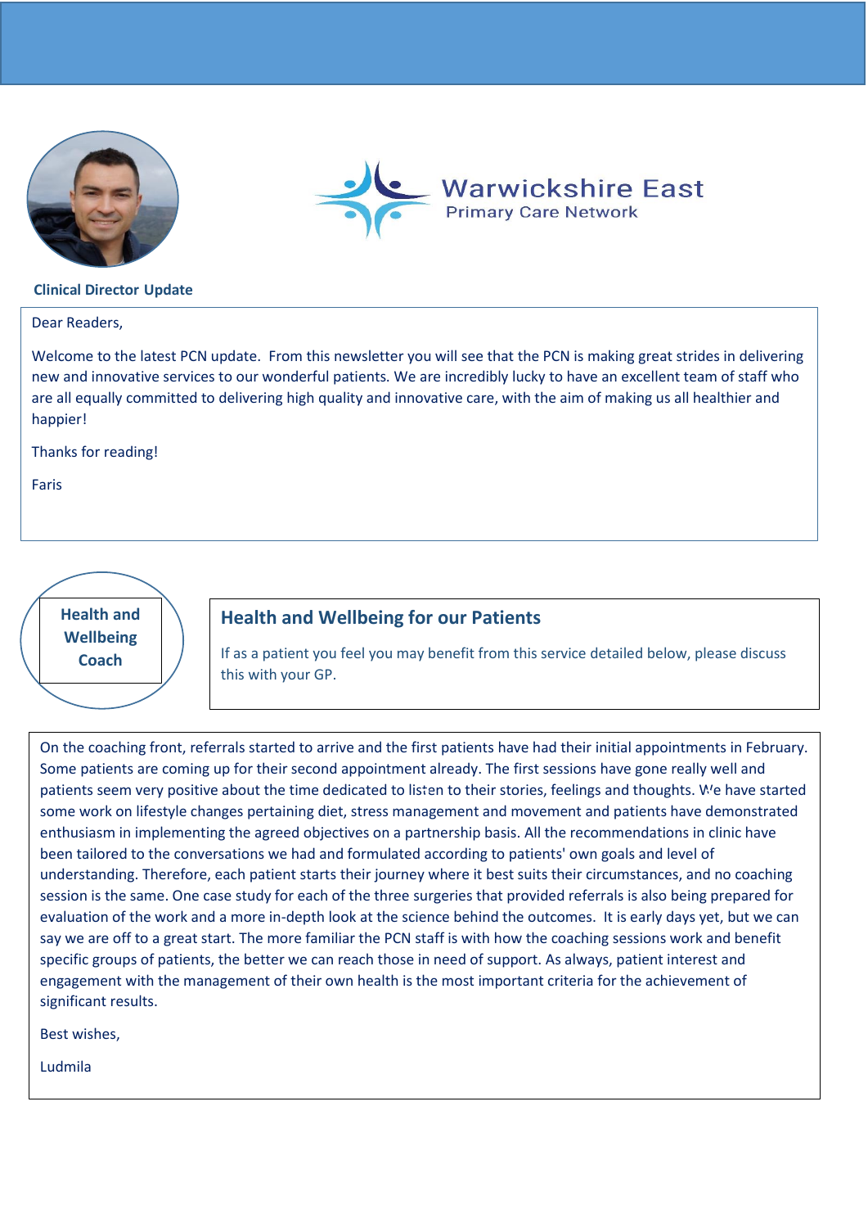



#### **Clinical Director Update**

Dear Readers,

Welcome to the latest PCN update. From this newsletter you will see that the PCN is making great strides in delivering new and innovative services to our wonderful patients. We are incredibly lucky to have an excellent team of staff who are all equally committed to delivering high quality and innovative care, with the aim of making us all healthier and happier!

Thanks for reading!

Faris

**Health and Wellbeing Coach**

### **Health and Wellbeing for our Patients**

If as a patient you feel you may benefit from this service detailed below, please discuss this with your GP.

On the coaching front, referrals started to arrive and the first patients have had their initial appointments in February. Some patients are coming up for their second appointment already. The first sessions have gone really well and patients seem very positive about the time dedicated to listen to their stories, feelings and thoughts. We have started **2 3** some work on lifestyle changes pertaining diet, stress management and movement and patients have demonstrated enthusiasm in implementing the agreed objectives on a partnership basis. All the recommendations in clinic have been tailored to the conversations we had and formulated according to patients' own goals and level of understanding. Therefore, each patient starts their journey where it best suits their circumstances, and no coaching session is the same. One case study for each of the three surgeries that provided referrals is also being prepared for evaluation of the work and a more in-depth look at the science behind the outcomes. It is early days yet, but we can say we are off to a great start. The more familiar the PCN staff is with how the coaching sessions work and benefit specific groups of patients, the better we can reach those in need of support. As always, patient interest and engagement with the management of their own health is the most important criteria for the achievement of significant results.

Best wishes,

Ludmila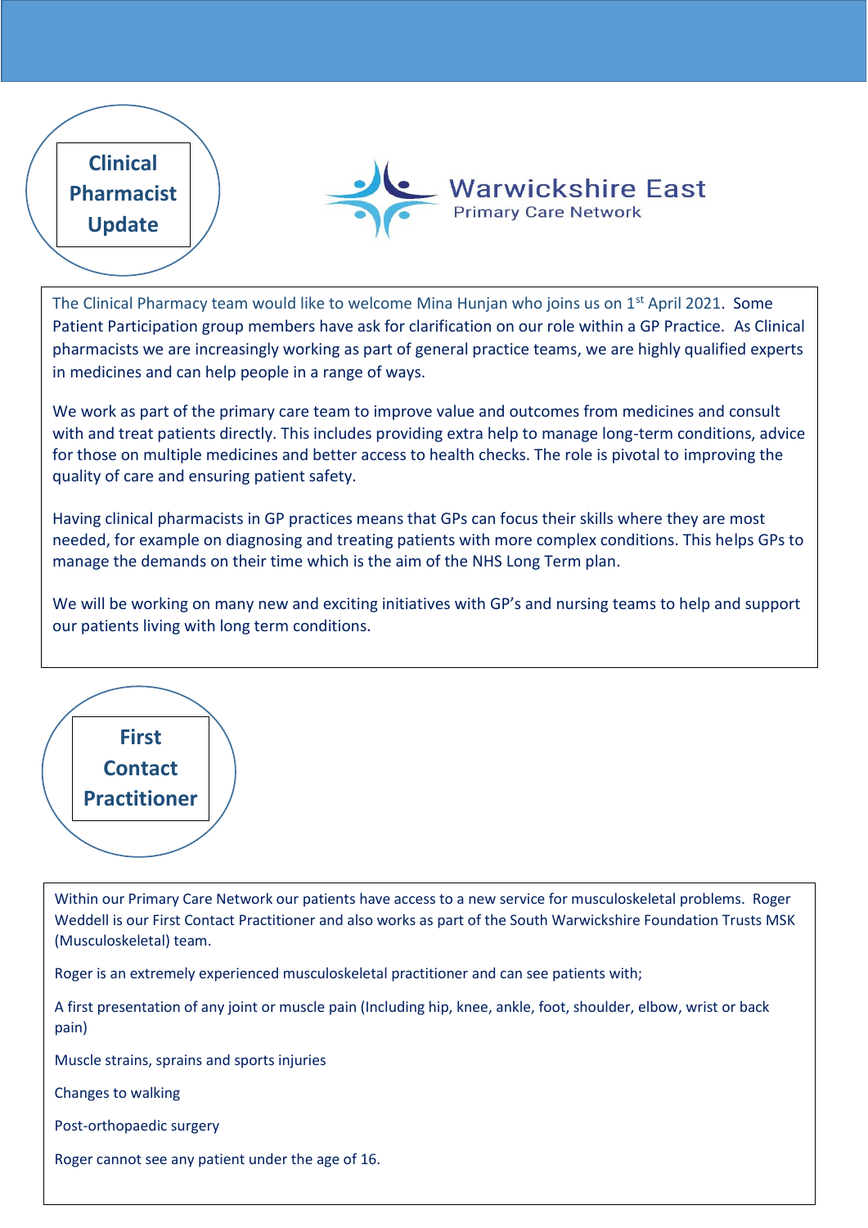

The Clinical Pharmacy team would like to welcome Mina Hunjan who joins us on 1<sup>st</sup> April 2021. Some Patient Participation group members have ask for clarification on our role within a GP Practice. As Clinical pharmacists we are increasingly working as part of general practice teams, we are highly qualified experts in medicines and can help people in a range of ways.

We work as part of the primary care team to improve value and outcomes from medicines and consult with and treat patients directly. This includes providing extra help to manage long-term conditions, advice for those on multiple medicines and better access to health checks. The role is pivotal to improving the quality of care and ensuring patient safety.

Having clinical pharmacists in GP practices means that GPs can focus their skills where they are most needed, for example on diagnosing and treating patients with more complex conditions. This helps GPs to manage the demands on their time which is the aim of the NHS Long Term plan.

We will be working on many new and exciting initiatives with GP's and nursing teams to help and support our patients living with long term conditions.



Within our Primary Care Network our patients have access to a new service for musculoskeletal problems. Roger Weddell is our First Contact Practitioner and also works as part of the South Warwickshire Foundation Trusts MSK (Musculoskeletal) team.

Roger is an extremely experienced musculoskeletal practitioner and can see patients with;

A first presentation of any joint or muscle pain (Including hip, knee, ankle, foot, shoulder, elbow, wrist or back pain)

Muscle strains, sprains and sports injuries

Changes to walking

Post-orthopaedic surgery

Roger cannot see any patient under the age of 16.